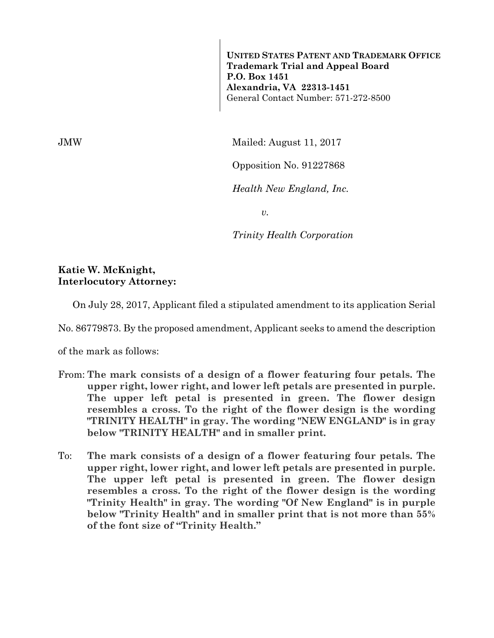**UNITED STATES PATENT AND TRADEMARK OFFICE Trademark Trial and Appeal Board P.O. Box 1451 Alexandria, VA 22313-1451**  General Contact Number: 571-272-8500

JMW Mailed: August 11, 2017

Opposition No. 91227868

*Health New England, Inc.* 

*v.* 

*Trinity Health Corporation* 

## **Katie W. McKnight, Interlocutory Attorney:**

On July 28, 2017, Applicant filed a stipulated amendment to its application Serial

No. 86779873. By the proposed amendment, Applicant seeks to amend the description

of the mark as follows:

- From: **The mark consists of a design of a flower featuring four petals. The upper right, lower right, and lower left petals are presented in purple. The upper left petal is presented in green. The flower design resembles a cross. To the right of the flower design is the wording "TRINITY HEALTH" in gray. The wording "NEW ENGLAND" is in gray below "TRINITY HEALTH" and in smaller print.**
- To: **The mark consists of a design of a flower featuring four petals. The upper right, lower right, and lower left petals are presented in purple. The upper left petal is presented in green. The flower design resembles a cross. To the right of the flower design is the wording "Trinity Health" in gray. The wording "Of New England" is in purple below "Trinity Health" and in smaller print that is not more than 55% of the font size of "Trinity Health."**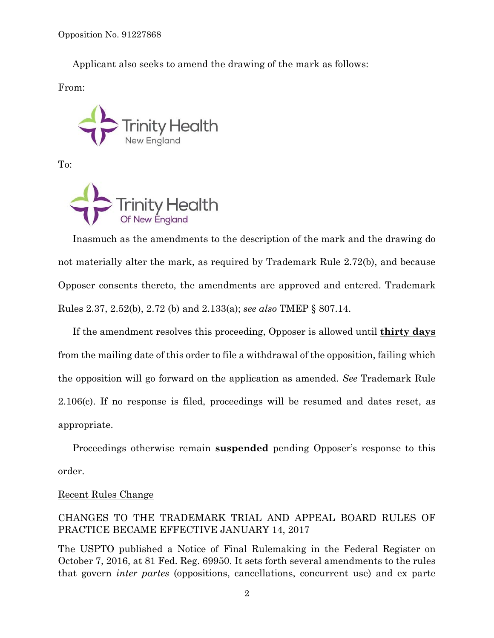Applicant also seeks to amend the drawing of the mark as follows:

From:



To:



Inasmuch as the amendments to the description of the mark and the drawing do not materially alter the mark, as required by Trademark Rule 2.72(b), and because Opposer consents thereto, the amendments are approved and entered. Trademark Rules 2.37, 2.52(b), 2.72 (b) and 2.133(a); *see also* TMEP § 807.14.

If the amendment resolves this proceeding, Opposer is allowed until **thirty days** from the mailing date of this order to file a withdrawal of the opposition, failing which the opposition will go forward on the application as amended. *See* Trademark Rule 2.106(c). If no response is filed, proceedings will be resumed and dates reset, as appropriate.

Proceedings otherwise remain **suspended** pending Opposer's response to this order.

## Recent Rules Change

## CHANGES TO THE TRADEMARK TRIAL AND APPEAL BOARD RULES OF PRACTICE BECAME EFFECTIVE JANUARY 14, 2017

The USPTO published a Notice of Final Rulemaking in the Federal Register on October 7, 2016, at 81 Fed. Reg. 69950. It sets forth several amendments to the rules that govern *inter partes* (oppositions, cancellations, concurrent use) and ex parte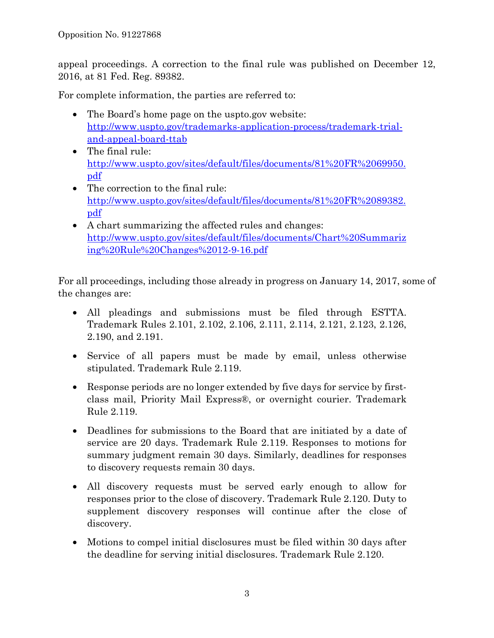appeal proceedings. A correction to the final rule was published on December 12, 2016, at 81 Fed. Reg. 89382.

For complete information, the parties are referred to:

- The Board's home page on the uspto.gov website: http://www.uspto.gov/trademarks-application-process/trademark-trialand-appeal-board-ttab
- The final rule: http://www.uspto.gov/sites/default/files/documents/81%20FR%2069950. pdf
- The correction to the final rule: http://www.uspto.gov/sites/default/files/documents/81%20FR%2089382. pdf
- A chart summarizing the affected rules and changes: http://www.uspto.gov/sites/default/files/documents/Chart%20Summariz ing%20Rule%20Changes%2012-9-16.pdf

For all proceedings, including those already in progress on January 14, 2017, some of the changes are:

- All pleadings and submissions must be filed through ESTTA. Trademark Rules 2.101, 2.102, 2.106, 2.111, 2.114, 2.121, 2.123, 2.126, 2.190, and 2.191.
- Service of all papers must be made by email, unless otherwise stipulated. Trademark Rule 2.119.
- Response periods are no longer extended by five days for service by firstclass mail, Priority Mail Express®, or overnight courier. Trademark Rule 2.119.
- Deadlines for submissions to the Board that are initiated by a date of service are 20 days. Trademark Rule 2.119. Responses to motions for summary judgment remain 30 days. Similarly, deadlines for responses to discovery requests remain 30 days.
- All discovery requests must be served early enough to allow for responses prior to the close of discovery. Trademark Rule 2.120. Duty to supplement discovery responses will continue after the close of discovery.
- Motions to compel initial disclosures must be filed within 30 days after the deadline for serving initial disclosures. Trademark Rule 2.120.